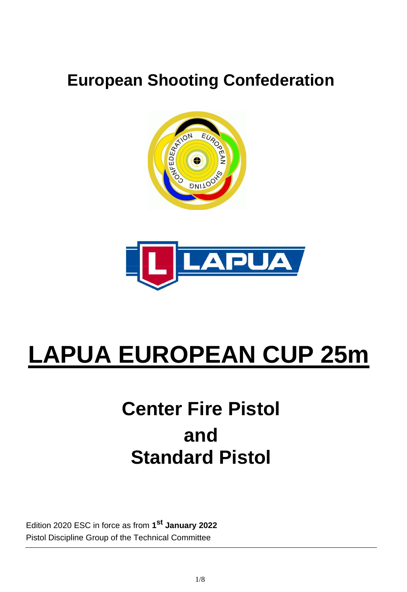# **European Shooting Confederation**



# **LAPUA EUROPEAN CUP 25m**

# **Center Fire Pistol and Standard Pistol**

Edition 2020 ESC in force as from **1 st January 2022** Pistol Discipline Group of the Technical Committee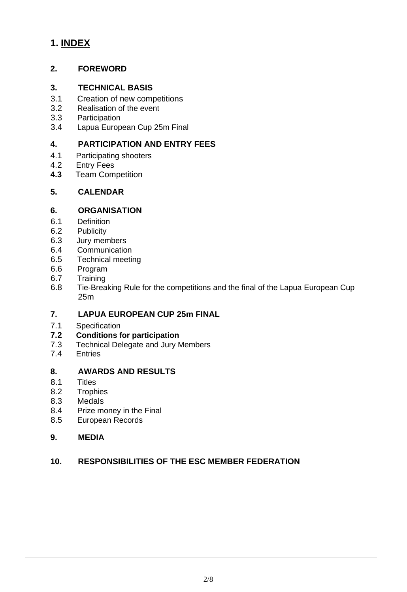# **1. INDEX**

#### **2. FOREWORD**

#### **3. TECHNICAL BASIS**

- 3.1 Creation of new competitions
- 3.2 Realisation of the event
- 3.3 Participation
- 3.4 Lapua European Cup 25m Final

# **4. PARTICIPATION AND ENTRY FEES**

- 4.1 Participating shooters
- 4.2 Entry Fees
- **4.3** Team Competition

#### **5. CALENDAR**

#### **6. ORGANISATION**

- 6.1 Definition
- 6.2 Publicity
- 6.3 Jury members
- 6.4 Communication
- 6.5 Technical meeting
- 6.6 Program
- 6.7 Training
- 6.8 Tie-Breaking Rule for the competitions and the final of the Lapua European Cup 25m

#### **7. LAPUA EUROPEAN CUP 25m FINAL**

7.1 Specification

#### **7.2 Conditions for participation**

- 7.3 Technical Delegate and Jury Members
- 7.4 Entries

#### **8. AWARDS AND RESULTS**

- 8.1 Titles
- 8.2 Trophies
- 8.3 Medals
- 8.4 Prize money in the Final
- 8.5 European Records

#### **9. MEDIA**

#### **10. RESPONSIBILITIES OF THE ESC MEMBER FEDERATION**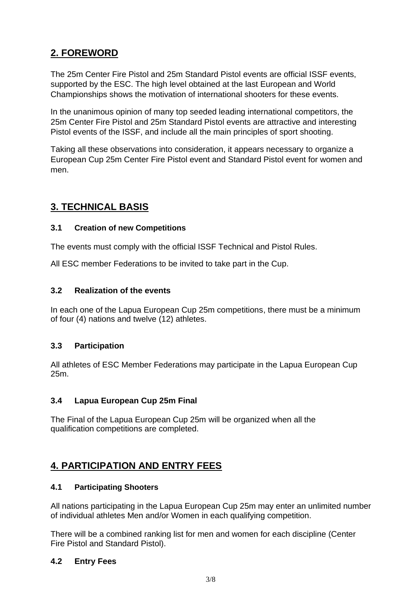# **2. FOREWORD**

The 25m Center Fire Pistol and 25m Standard Pistol events are official ISSF events, supported by the ESC. The high level obtained at the last European and World Championships shows the motivation of international shooters for these events.

In the unanimous opinion of many top seeded leading international competitors, the 25m Center Fire Pistol and 25m Standard Pistol events are attractive and interesting Pistol events of the ISSF, and include all the main principles of sport shooting.

Taking all these observations into consideration, it appears necessary to organize a European Cup 25m Center Fire Pistol event and Standard Pistol event for women and men.

# **3. TECHNICAL BASIS**

#### **3.1 Creation of new Competitions**

The events must comply with the official ISSF Technical and Pistol Rules.

All ESC member Federations to be invited to take part in the Cup.

#### **3.2 Realization of the events**

In each one of the Lapua European Cup 25m competitions, there must be a minimum of four (4) nations and twelve (12) athletes.

#### **3.3 Participation**

All athletes of ESC Member Federations may participate in the Lapua European Cup 25m.

#### **3.4 Lapua European Cup 25m Final**

The Final of the Lapua European Cup 25m will be organized when all the qualification competitions are completed.

# **4. PARTICIPATION AND ENTRY FEES**

#### **4.1 Participating Shooters**

All nations participating in the Lapua European Cup 25m may enter an unlimited number of individual athletes Men and/or Women in each qualifying competition.

There will be a combined ranking list for men and women for each discipline (Center Fire Pistol and Standard Pistol).

#### **4.2 Entry Fees**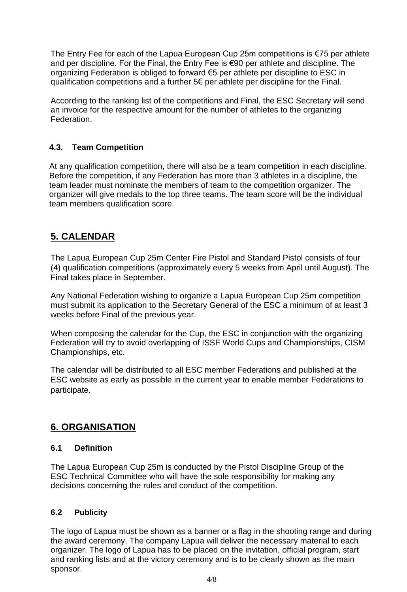The Entry Fee for each of the Lapua European Cup 25m competitions is  $\epsilon$ 75 per athlete and per discipline. For the Final, the Entry Fee is €90 per athlete and discipline. The organizing Federation is obliged to forward €5 per athlete per discipline to ESC in qualification competitions and a further 5€ per athlete per discipline for the Final.

According to the ranking list of the competitions and Final, the ESC Secretary will send an invoice for the respective amount for the number of athletes to the organizing Federation.

#### **4.3. Team Competition**

At any qualification competition, there will also be a team competition in each discipline. Before the competition, if any Federation has more than 3 athletes in a discipline, the team leader must nominate the members of team to the competition organizer. The organizer will give medals to the top three teams. The team score will be the individual team members qualification score.

# **5. CALENDAR**

The Lapua European Cup 25m Center Fire Pistol and Standard Pistol consists of four (4) qualification competitions (approximately every 5 weeks from April until August). The Final takes place in September.

Any National Federation wishing to organize a Lapua European Cup 25m competition must submit its application to the Secretary General of the ESC a minimum of at least 3 weeks before Final of the previous year.

When composing the calendar for the Cup, the ESC in conjunction with the organizing Federation will try to avoid overlapping of ISSF World Cups and Championships, CISM Championships, etc.

The calendar will be distributed to all ESC member Federations and published at the ESC website as early as possible in the current year to enable member Federations to participate.

# **6. ORGANISATION**

#### **6.1 Definition**

The Lapua European Cup 25m is conducted by the Pistol Discipline Group of the ESC Technical Committee who will have the sole responsibility for making any decisions concerning the rules and conduct of the competition.

#### **6.2 Publicity**

The logo of Lapua must be shown as a banner or a flag in the shooting range and during the award ceremony. The company Lapua will deliver the necessary material to each organizer. The logo of Lapua has to be placed on the invitation, official program, start and ranking lists and at the victory ceremony and is to be clearly shown as the main sponsor.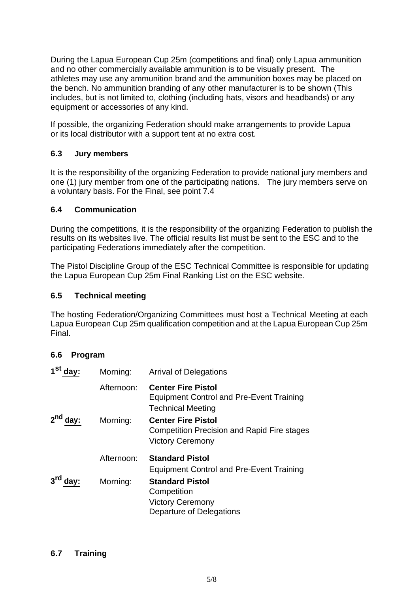During the Lapua European Cup 25m (competitions and final) only Lapua ammunition and no other commercially available ammunition is to be visually present. The athletes may use any ammunition brand and the ammunition boxes may be placed on the bench. No ammunition branding of any other manufacturer is to be shown (This includes, but is not limited to, clothing (including hats, visors and headbands) or any equipment or accessories of any kind.

If possible, the organizing Federation should make arrangements to provide Lapua or its local distributor with a support tent at no extra cost.

#### **6.3 Jury members**

It is the responsibility of the organizing Federation to provide national jury members and one (1) jury member from one of the participating nations. The jury members serve on a voluntary basis. For the Final, see point 7.4

#### **6.4 Communication**

During the competitions, it is the responsibility of the organizing Federation to publish the results on its websites live. The official results list must be sent to the ESC and to the participating Federations immediately after the competition.

The Pistol Discipline Group of the ESC Technical Committee is responsible for updating the Lapua European Cup 25m Final Ranking List on the ESC website.

#### **6.5 Technical meeting**

The hosting Federation/Organizing Committees must host a Technical Meeting at each Lapua European Cup 25m qualification competition and at the Lapua European Cup 25m Final.

#### **6.6 Program**

| Morning:   | <b>Arrival of Delegations</b>                                                                              |
|------------|------------------------------------------------------------------------------------------------------------|
| Afternoon: | <b>Center Fire Pistol</b><br><b>Equipment Control and Pre-Event Training</b><br><b>Technical Meeting</b>   |
| Morning:   | <b>Center Fire Pistol</b><br><b>Competition Precision and Rapid Fire stages</b><br><b>Victory Ceremony</b> |
| Afternoon: | <b>Standard Pistol</b><br><b>Equipment Control and Pre-Event Training</b>                                  |
| Morning:   | <b>Standard Pistol</b><br>Competition<br><b>Victory Ceremony</b><br>Departure of Delegations               |
|            |                                                                                                            |

#### **6.7 Training**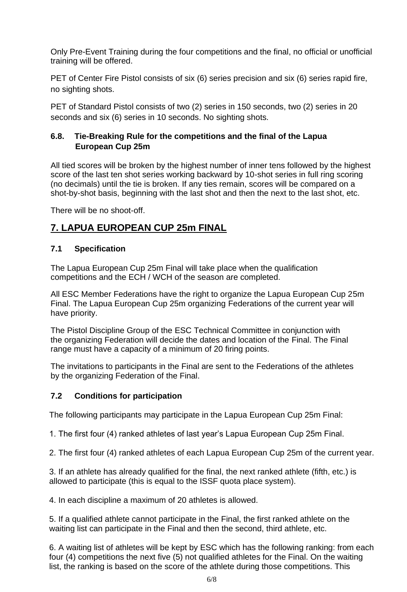Only Pre-Event Training during the four competitions and the final, no official or unofficial training will be offered.

PET of Center Fire Pistol consists of six (6) series precision and six (6) series rapid fire, no sighting shots.

PET of Standard Pistol consists of two (2) series in 150 seconds, two (2) series in 20 seconds and six (6) series in 10 seconds. No sighting shots.

#### **6.8. Tie-Breaking Rule for the competitions and the final of the Lapua European Cup 25m**

All tied scores will be broken by the highest number of inner tens followed by the highest score of the last ten shot series working backward by 10-shot series in full ring scoring (no decimals) until the tie is broken. If any ties remain, scores will be compared on a shot-by-shot basis, beginning with the last shot and then the next to the last shot, etc.

There will be no shoot-off.

# **7. LAPUA EUROPEAN CUP 25m FINAL**

#### **7.1 Specification**

The Lapua European Cup 25m Final will take place when the qualification competitions and the ECH / WCH of the season are completed.

All ESC Member Federations have the right to organize the Lapua European Cup 25m Final. The Lapua European Cup 25m organizing Federations of the current year will have priority.

The Pistol Discipline Group of the ESC Technical Committee in conjunction with the organizing Federation will decide the dates and location of the Final. The Final range must have a capacity of a minimum of 20 firing points.

The invitations to participants in the Final are sent to the Federations of the athletes by the organizing Federation of the Final.

#### **7.2 Conditions for participation**

The following participants may participate in the Lapua European Cup 25m Final:

1. The first four (4) ranked athletes of last year's Lapua European Cup 25m Final.

2. The first four (4) ranked athletes of each Lapua European Cup 25m of the current year.

3. If an athlete has already qualified for the final, the next ranked athlete (fifth, etc.) is allowed to participate (this is equal to the ISSF quota place system).

4. In each discipline a maximum of 20 athletes is allowed.

5. If a qualified athlete cannot participate in the Final, the first ranked athlete on the waiting list can participate in the Final and then the second, third athlete, etc.

6. A waiting list of athletes will be kept by ESC which has the following ranking: from each four (4) competitions the next five (5) not qualified athletes for the Final. On the waiting list, the ranking is based on the score of the athlete during those competitions. This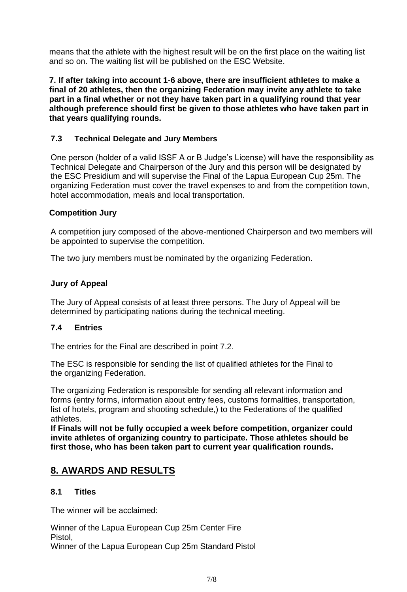means that the athlete with the highest result will be on the first place on the waiting list and so on. The waiting list will be published on the ESC Website.

**7. If after taking into account 1-6 above, there are insufficient athletes to make a final of 20 athletes, then the organizing Federation may invite any athlete to take part in a final whether or not they have taken part in a qualifying round that year although preference should first be given to those athletes who have taken part in that years qualifying rounds.**

#### **7.3 Technical Delegate and Jury Members**

One person (holder of a valid ISSF A or B Judge's License) will have the responsibility as Technical Delegate and Chairperson of the Jury and this person will be designated by the ESC Presidium and will supervise the Final of the Lapua European Cup 25m. The organizing Federation must cover the travel expenses to and from the competition town, hotel accommodation, meals and local transportation.

#### **Competition Jury**

A competition jury composed of the above-mentioned Chairperson and two members will be appointed to supervise the competition.

The two jury members must be nominated by the organizing Federation.

#### **Jury of Appeal**

The Jury of Appeal consists of at least three persons. The Jury of Appeal will be determined by participating nations during the technical meeting.

#### **7.4 Entries**

The entries for the Final are described in point 7.2.

The ESC is responsible for sending the list of qualified athletes for the Final to the organizing Federation.

The organizing Federation is responsible for sending all relevant information and forms (entry forms, information about entry fees, customs formalities, transportation, list of hotels, program and shooting schedule,) to the Federations of the qualified athletes.

**If Finals will not be fully occupied a week before competition, organizer could invite athletes of organizing country to participate. Those athletes should be first those, who has been taken part to current year qualification rounds.**

#### **8. AWARDS AND RESULTS**

#### **8.1 Titles**

The winner will be acclaimed:

Winner of the Lapua European Cup 25m Center Fire Pistol,

Winner of the Lapua European Cup 25m Standard Pistol